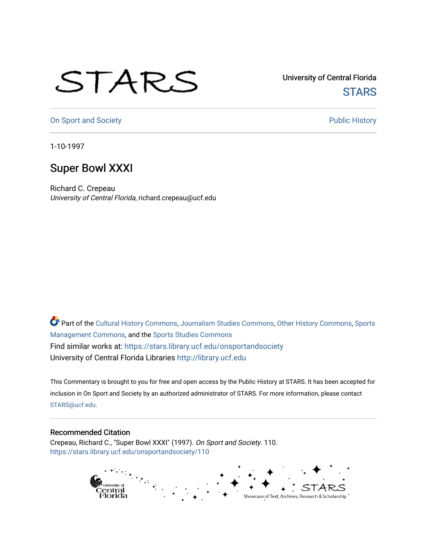## STARS

University of Central Florida **STARS** 

[On Sport and Society](https://stars.library.ucf.edu/onsportandsociety) **Public History** Public History

1-10-1997

## Super Bowl XXXI

Richard C. Crepeau University of Central Florida, richard.crepeau@ucf.edu

Part of the [Cultural History Commons](http://network.bepress.com/hgg/discipline/496?utm_source=stars.library.ucf.edu%2Fonsportandsociety%2F110&utm_medium=PDF&utm_campaign=PDFCoverPages), [Journalism Studies Commons,](http://network.bepress.com/hgg/discipline/333?utm_source=stars.library.ucf.edu%2Fonsportandsociety%2F110&utm_medium=PDF&utm_campaign=PDFCoverPages) [Other History Commons,](http://network.bepress.com/hgg/discipline/508?utm_source=stars.library.ucf.edu%2Fonsportandsociety%2F110&utm_medium=PDF&utm_campaign=PDFCoverPages) [Sports](http://network.bepress.com/hgg/discipline/1193?utm_source=stars.library.ucf.edu%2Fonsportandsociety%2F110&utm_medium=PDF&utm_campaign=PDFCoverPages) [Management Commons](http://network.bepress.com/hgg/discipline/1193?utm_source=stars.library.ucf.edu%2Fonsportandsociety%2F110&utm_medium=PDF&utm_campaign=PDFCoverPages), and the [Sports Studies Commons](http://network.bepress.com/hgg/discipline/1198?utm_source=stars.library.ucf.edu%2Fonsportandsociety%2F110&utm_medium=PDF&utm_campaign=PDFCoverPages) Find similar works at: <https://stars.library.ucf.edu/onsportandsociety> University of Central Florida Libraries [http://library.ucf.edu](http://library.ucf.edu/) 

This Commentary is brought to you for free and open access by the Public History at STARS. It has been accepted for inclusion in On Sport and Society by an authorized administrator of STARS. For more information, please contact [STARS@ucf.edu](mailto:STARS@ucf.edu).

## Recommended Citation

Crepeau, Richard C., "Super Bowl XXXI" (1997). On Sport and Society. 110. [https://stars.library.ucf.edu/onsportandsociety/110](https://stars.library.ucf.edu/onsportandsociety/110?utm_source=stars.library.ucf.edu%2Fonsportandsociety%2F110&utm_medium=PDF&utm_campaign=PDFCoverPages)

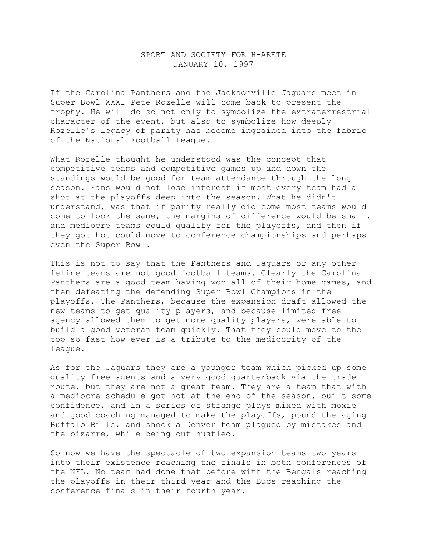## SPORT AND SOCIETY FOR H-ARETE JANUARY 10, 1997

If the Carolina Panthers and the Jacksonville Jaguars meet in Super Bowl XXXI Pete Rozelle will come back to present the trophy. He will do so not only to symbolize the extraterrestrial character of the event, but also to symbolize how deeply Rozelle's legacy of parity has become ingrained into the fabric of the National Football League.

What Rozelle thought he understood was the concept that competitive teams and competitive games up and down the standings would be good for team attendance through the long season. Fans would not lose interest if most every team had a shot at the playoffs deep into the season. What he didn't understand, was that if parity really did come most teams would come to look the same, the margins of difference would be small, and mediocre teams could qualify for the playoffs, and then if they got hot could move to conference championships and perhaps even the Super Bowl.

This is not to say that the Panthers and Jaguars or any other feline teams are not good football teams. Clearly the Carolina Panthers are a good team having won all of their home games, and then defeating the defending Super Bowl Champions in the playoffs. The Panthers, because the expansion draft allowed the new teams to get quality players, and because limited free agency allowed them to get more quality players, were able to build a good veteran team quickly. That they could move to the top so fast how ever is a tribute to the mediocrity of the league.

As for the Jaguars they are a younger team which picked up some quality free agents and a very good quarterback via the trade route, but they are not a great team. They are a team that with a mediocre schedule got hot at the end of the season, built some confidence, and in a series of strange plays mixed with moxie and good coaching managed to make the playoffs, pound the aging Buffalo Bills, and shock a Denver team plagued by mistakes and the bizarre, while being out hustled.

So now we have the spectacle of two expansion teams two years into their existence reaching the finals in both conferences of the NFL. No team had done that before with the Bengals reaching the playoffs in their third year and the Bucs reaching the conference finals in their fourth year.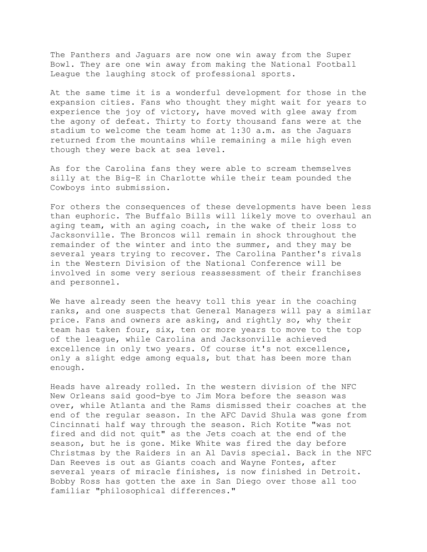The Panthers and Jaguars are now one win away from the Super Bowl. They are one win away from making the National Football League the laughing stock of professional sports.

At the same time it is a wonderful development for those in the expansion cities. Fans who thought they might wait for years to experience the joy of victory, have moved with glee away from the agony of defeat. Thirty to forty thousand fans were at the stadium to welcome the team home at 1:30 a.m. as the Jaguars returned from the mountains while remaining a mile high even though they were back at sea level.

As for the Carolina fans they were able to scream themselves silly at the Big-E in Charlotte while their team pounded the Cowboys into submission.

For others the consequences of these developments have been less than euphoric. The Buffalo Bills will likely move to overhaul an aging team, with an aging coach, in the wake of their loss to Jacksonville. The Broncos will remain in shock throughout the remainder of the winter and into the summer, and they may be several years trying to recover. The Carolina Panther's rivals in the Western Division of the National Conference will be involved in some very serious reassessment of their franchises and personnel.

We have already seen the heavy toll this year in the coaching ranks, and one suspects that General Managers will pay a similar price. Fans and owners are asking, and rightly so, why their team has taken four, six, ten or more years to move to the top of the league, while Carolina and Jacksonville achieved excellence in only two years. Of course it's not excellence, only a slight edge among equals, but that has been more than enough.

Heads have already rolled. In the western division of the NFC New Orleans said good-bye to Jim Mora before the season was over, while Atlanta and the Rams dismissed their coaches at the end of the regular season. In the AFC David Shula was gone from Cincinnati half way through the season. Rich Kotite "was not fired and did not quit" as the Jets coach at the end of the season, but he is gone. Mike White was fired the day before Christmas by the Raiders in an Al Davis special. Back in the NFC Dan Reeves is out as Giants coach and Wayne Fontes, after several years of miracle finishes, is now finished in Detroit. Bobby Ross has gotten the axe in San Diego over those all too familiar "philosophical differences."